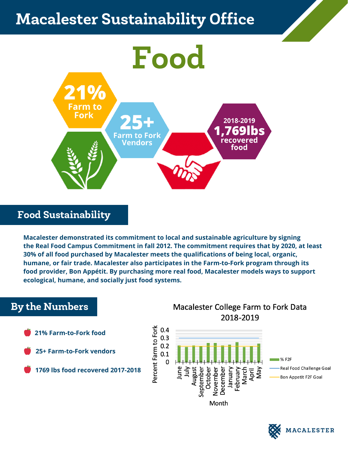# sicaret o*u*stanidhii Macalester Sustainability Office



### Food Sustainability

**Macalester demonstrated its commitment to local and sustainable agriculture by signing the Real Food Campus Commitment in fall 2012. The commitment requires that by 2020, at least 30% of all food purchased by Macalester meets the qualifications of being local, organic, humane, or fair trade. Macalester also participates in the Farm-to-Fork program through its food provider, Bon Appétit. By purchasing more real food, Macalester models ways to support ecological, humane, and socially just food systems.**

## By the Numbers

- **21% Farm-to-Fork food**
- **25+ Farm-to-Fork vendors**
- **1769 lbs food recovered 2017-2018**

### Macalester College Farm to Fork Data 2018-2019